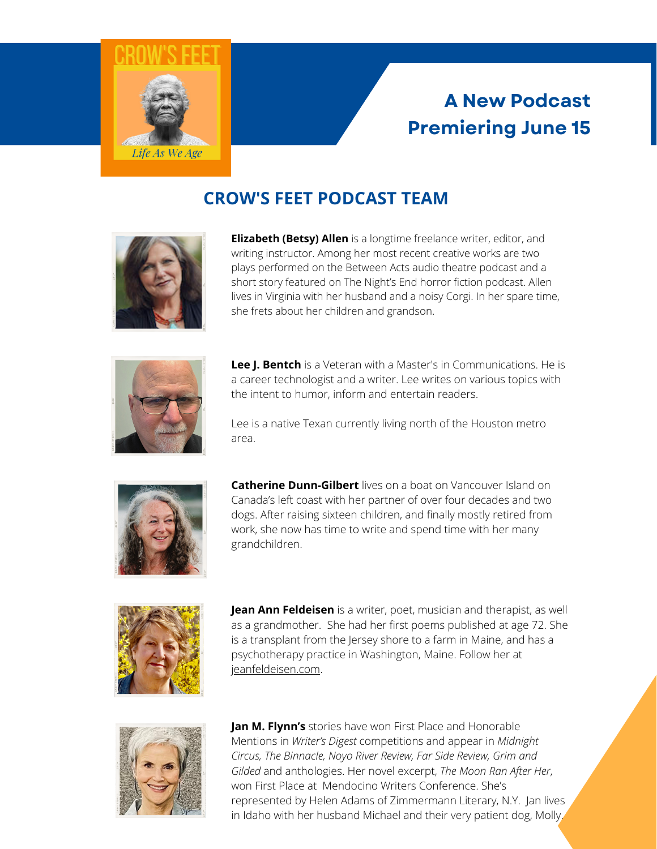

## **A New Podcast Premiering June 15**

## **CROW'S FEET PODCAST TEAM**



**Elizabeth (Betsy) Allen** is a longtime freelance writer, editor, and writing instructor. Among her most recent creative works are two plays performed on the Between Acts audio theatre podcast and a short story featured on The Night's End horror fiction podcast. Allen lives in Virginia with her husband and a noisy Corgi. In her spare time, she frets about her children and grandson.



**Lee J. Bentch** is a Veteran with a Master's in Communications. He is a career technologist and a writer. Lee writes on various topics with the intent to humor, inform and entertain readers.

Lee is a native Texan currently living north of the Houston metro area.



**Catherine Dunn-Gilbert** lives on a boat on Vancouver Island on Canada's left coast with her partner of over four decades and two dogs. After raising sixteen children, and finally mostly retired from work, she now has time to write and spend time with her many grandchildren.



**Jean Ann Feldeisen** is a writer, poet, musician and therapist, as well as a grandmother. She had her first poems published at age 72. She is a transplant from the Jersey shore to a farm in Maine, and has a psychotherapy practice in Washington, Maine. Follow her at [jeanfeldeisen.com](http://www.jeanfeldeisen.com/).



Mentions in *Writer's Digest* competitions and appear in *Midnight* Gilded and anthologies. Her novel excerpt, *The Moon Ran After Her*, **Jan M. Flynn's** stories have won First Place and Honorable *Circus, The Binnacle, Noyo River Review, Far Side Review, Grim and* won First Place at Mendocino Writers Conference. She's represented by Helen Adams of Zimmermann Literary, N.Y. Jan lives in Idaho with her husband Michael and their very patient dog, Molly.